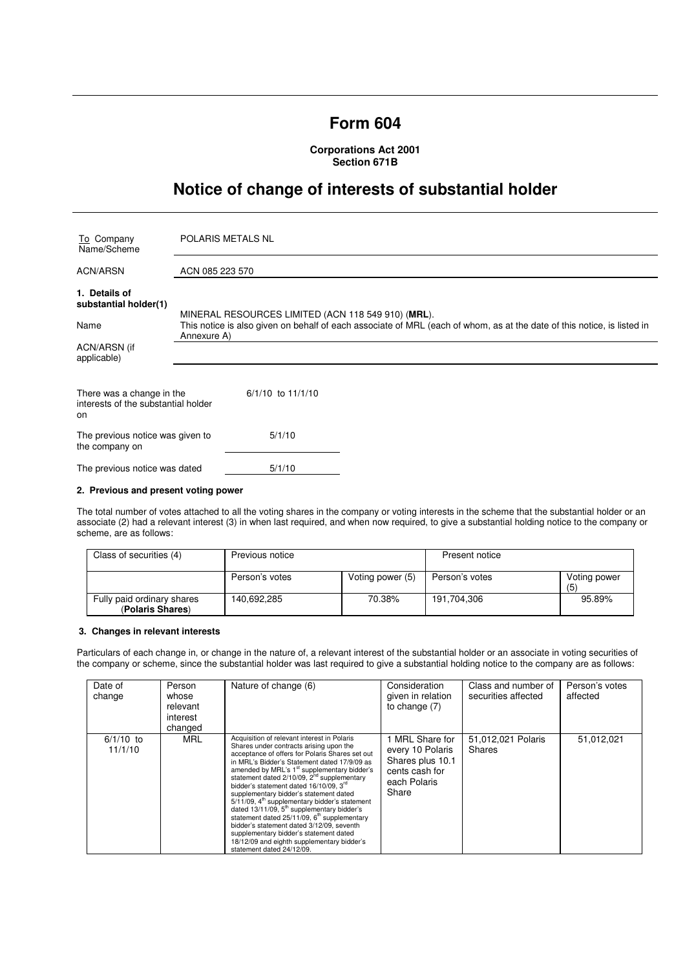# **Form 604**

**Corporations Act 2001 Section 671B** 

# **Notice of change of interests of substantial holder**

| To Company<br>Name/Scheme                                              | POLARIS METALS NL                                                                                                                                                                            |  |  |
|------------------------------------------------------------------------|----------------------------------------------------------------------------------------------------------------------------------------------------------------------------------------------|--|--|
| <b>ACN/ARSN</b>                                                        | ACN 085 223 570                                                                                                                                                                              |  |  |
| 1. Details of<br>substantial holder(1)                                 |                                                                                                                                                                                              |  |  |
| Name                                                                   | MINERAL RESOURCES LIMITED (ACN 118 549 910) (MRL).<br>This notice is also given on behalf of each associate of MRL (each of whom, as at the date of this notice, is listed in<br>Annexure A) |  |  |
| ACN/ARSN (if<br>applicable)                                            |                                                                                                                                                                                              |  |  |
| There was a change in the<br>interests of the substantial holder<br>on | $6/1/10$ to $11/1/10$                                                                                                                                                                        |  |  |
| The previous notice was given to<br>the company on                     | 5/1/10                                                                                                                                                                                       |  |  |
| The previous notice was dated                                          | 5/1/10                                                                                                                                                                                       |  |  |

#### **2. Previous and present voting power**

The total number of votes attached to all the voting shares in the company or voting interests in the scheme that the substantial holder or an associate (2) had a relevant interest (3) in when last required, and when now required, to give a substantial holding notice to the company or scheme, are as follows:

| Class of securities (4)                        | Previous notice |                  | Present notice |                     |
|------------------------------------------------|-----------------|------------------|----------------|---------------------|
|                                                | Person's votes  | Voting power (5) | Person's votes | Voting power<br>(5) |
| Fully paid ordinary shares<br>(Polaris Shares) | 140.692.285     | 70.38%           | 191.704.306    | 95.89%              |

# **3. Changes in relevant interests**

Particulars of each change in, or change in the nature of, a relevant interest of the substantial holder or an associate in voting securities of the company or scheme, since the substantial holder was last required to give a substantial holding notice to the company are as follows:

| Date of<br>change      | Person<br>whose<br>relevant<br>interest<br>changed | Nature of change (6)                                                                                                                                                                                                                                                                                                                                                                                                                                                                                                                                                                                                                                                                                                              | Consideration<br>given in relation<br>to change (7)                                              | Class and number of<br>securities affected | Person's votes<br>affected |
|------------------------|----------------------------------------------------|-----------------------------------------------------------------------------------------------------------------------------------------------------------------------------------------------------------------------------------------------------------------------------------------------------------------------------------------------------------------------------------------------------------------------------------------------------------------------------------------------------------------------------------------------------------------------------------------------------------------------------------------------------------------------------------------------------------------------------------|--------------------------------------------------------------------------------------------------|--------------------------------------------|----------------------------|
| $6/1/10$ to<br>11/1/10 | <b>MRL</b>                                         | Acquisition of relevant interest in Polaris<br>Shares under contracts arising upon the<br>acceptance of offers for Polaris Shares set out<br>in MRL's Bidder's Statement dated 17/9/09 as<br>amended by MRL's 1 <sup>st</sup> supplementary bidder's<br>statement dated $2/10/09$ , $2nd$ supplementary<br>bidder's statement dated 16/10/09, 3rd<br>supplementary bidder's statement dated<br>5/11/09, 4 <sup>th</sup> supplementary bidder's statement<br>dated $13/11/09$ , $5th$ supplementary bidder's<br>statement dated $25/11/09$ , $6th$ supplementary<br>bidder's statement dated 3/12/09, seventh<br>supplementary bidder's statement dated<br>18/12/09 and eighth supplementary bidder's<br>statement dated 24/12/09. | MRL Share for<br>every 10 Polaris<br>Shares plus 10.1<br>cents cash for<br>each Polaris<br>Share | 51,012,021 Polaris<br>Shares               | 51,012,021                 |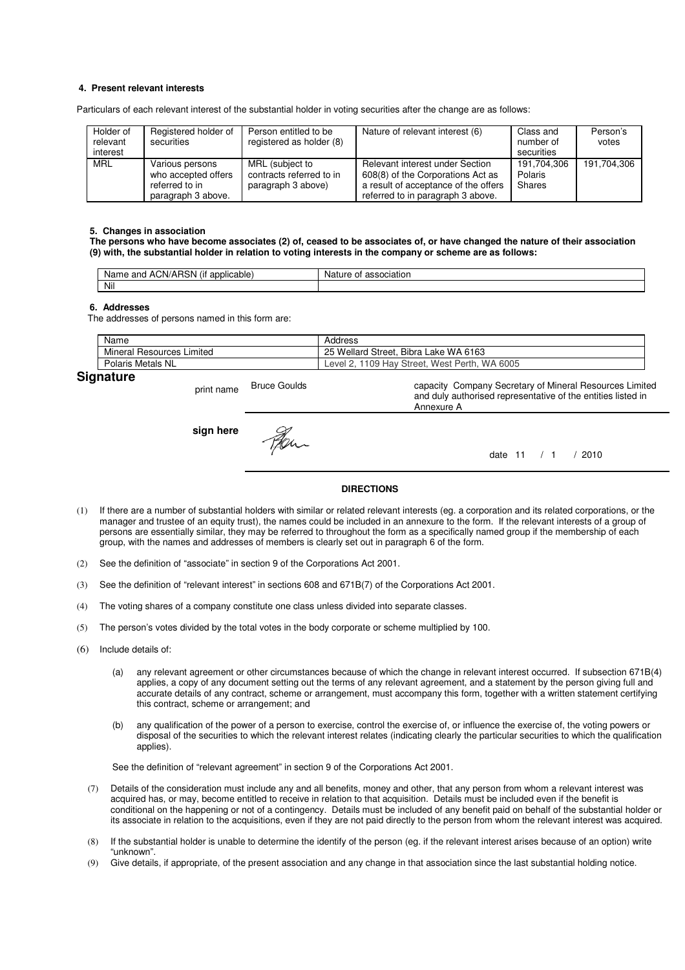### **4. Present relevant interests**

Particulars of each relevant interest of the substantial holder in voting securities after the change are as follows:

| Holder of<br>relevant<br>interest | Registered holder of<br>securities                                             | Person entitled to be<br>registered as holder (8)                 | Nature of relevant interest (6)                                                                                                                   | Class and<br>number of<br>securities | Person's<br>votes |
|-----------------------------------|--------------------------------------------------------------------------------|-------------------------------------------------------------------|---------------------------------------------------------------------------------------------------------------------------------------------------|--------------------------------------|-------------------|
| MRL                               | Various persons<br>who accepted offers<br>referred to in<br>paragraph 3 above. | MRL (subject to<br>contracts referred to in<br>paragraph 3 above) | Relevant interest under Section<br>608(8) of the Corporations Act as<br>a result of acceptance of the offers<br>referred to in paragraph 3 above. | 191.704.306<br>Polaris<br>Shares     | 191.704.306       |

#### **5. Changes in association**

**The persons who have become associates (2) of, ceased to be associates of, or have changed the nature of their association (9) with, the substantial holder in relation to voting interests in the company or scheme are as follows:** 

| $\cdots$<br>ימ<br>ACN/AH<br>and<br>licable:<br>Name<br>ווסו<br>$-1111$<br>. . | ciation<br>Nai.<br>nt |
|-------------------------------------------------------------------------------|-----------------------|
| Nil                                                                           |                       |

#### **6. Addresses**

The addresses of persons named in this form are:

|     | Name                            | Address                                            |
|-----|---------------------------------|----------------------------------------------------|
|     | Mineral<br>Limited<br>Resources | . Bibra Lake WA 6163<br>25 Wellard Street,         |
|     | Polaris Metals NL               | WA 6005<br>, 1109 Hay Street, West Perth,<br>Level |
| - - |                                 |                                                    |

# **Signature**

print name Bruce Goulds capacity Company Secretary of Mineral Resources Limited and duly authorised representative of the entities listed in Annexure A **sign here** Fer. date 11 / 1 / 2010

### **DIRECTIONS**

- (1) If there are a number of substantial holders with similar or related relevant interests (eg. a corporation and its related corporations, or the manager and trustee of an equity trust), the names could be included in an annexure to the form. If the relevant interests of a group of persons are essentially similar, they may be referred to throughout the form as a specifically named group if the membership of each group, with the names and addresses of members is clearly set out in paragraph 6 of the form.
- (2) See the definition of "associate" in section 9 of the Corporations Act 2001.
- (3) See the definition of "relevant interest" in sections 608 and 671B(7) of the Corporations Act 2001.
- (4) The voting shares of a company constitute one class unless divided into separate classes.
- (5) The person's votes divided by the total votes in the body corporate or scheme multiplied by 100.
- (6) Include details of:
	- (a) any relevant agreement or other circumstances because of which the change in relevant interest occurred. If subsection 671B(4) applies, a copy of any document setting out the terms of any relevant agreement, and a statement by the person giving full and accurate details of any contract, scheme or arrangement, must accompany this form, together with a written statement certifying this contract, scheme or arrangement; and
	- (b) any qualification of the power of a person to exercise, control the exercise of, or influence the exercise of, the voting powers or disposal of the securities to which the relevant interest relates (indicating clearly the particular securities to which the qualification applies).

See the definition of "relevant agreement" in section 9 of the Corporations Act 2001.

- (7) Details of the consideration must include any and all benefits, money and other, that any person from whom a relevant interest was acquired has, or may, become entitled to receive in relation to that acquisition. Details must be included even if the benefit is conditional on the happening or not of a contingency. Details must be included of any benefit paid on behalf of the substantial holder or its associate in relation to the acquisitions, even if they are not paid directly to the person from whom the relevant interest was acquired.
- (8) If the substantial holder is unable to determine the identify of the person (eg. if the relevant interest arises because of an option) write "unknown".
- (9) Give details, if appropriate, of the present association and any change in that association since the last substantial holding notice.